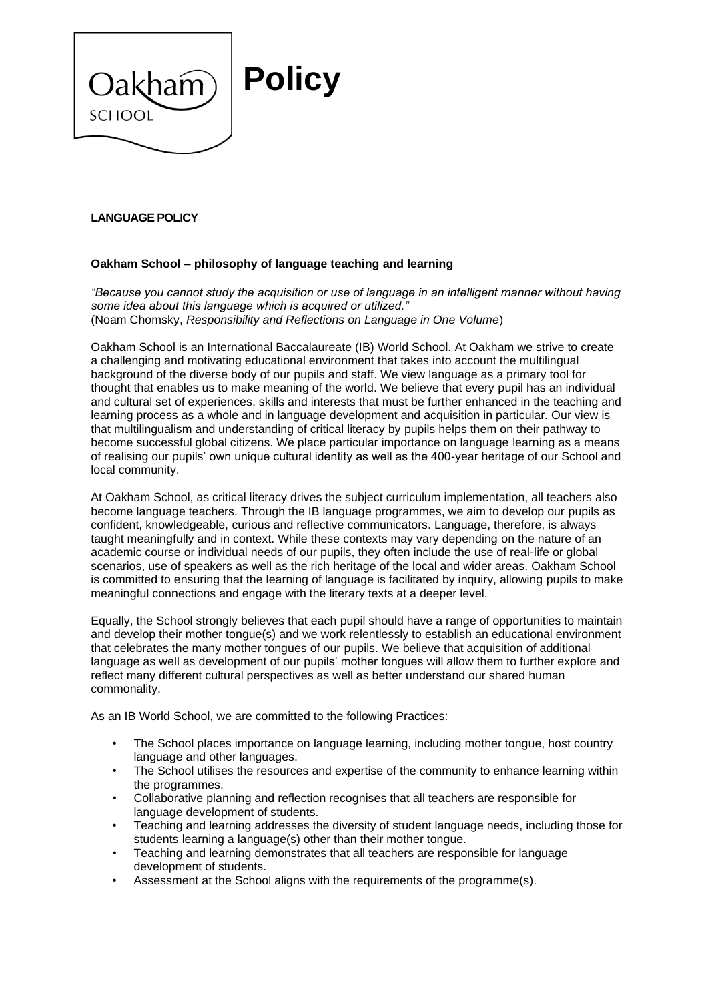

## **LANGUAGE POLICY**

### **Oakham School – philosophy of language teaching and learning**

*"Because you cannot study the acquisition or use of language in an intelligent manner without having some idea about this language which is acquired or utilized."*  (Noam Chomsky, *Responsibility and Reflections on Language in One Volume*)

Oakham School is an International Baccalaureate (IB) World School. At Oakham we strive to create a challenging and motivating educational environment that takes into account the multilingual background of the diverse body of our pupils and staff. We view language as a primary tool for thought that enables us to make meaning of the world. We believe that every pupil has an individual and cultural set of experiences, skills and interests that must be further enhanced in the teaching and learning process as a whole and in language development and acquisition in particular. Our view is that multilingualism and understanding of critical literacy by pupils helps them on their pathway to become successful global citizens. We place particular importance on language learning as a means of realising our pupils' own unique cultural identity as well as the 400-year heritage of our School and local community.

At Oakham School, as critical literacy drives the subject curriculum implementation, all teachers also become language teachers. Through the IB language programmes, we aim to develop our pupils as confident, knowledgeable, curious and reflective communicators. Language, therefore, is always taught meaningfully and in context. While these contexts may vary depending on the nature of an academic course or individual needs of our pupils, they often include the use of real-life or global scenarios, use of speakers as well as the rich heritage of the local and wider areas. Oakham School is committed to ensuring that the learning of language is facilitated by inquiry, allowing pupils to make meaningful connections and engage with the literary texts at a deeper level.

Equally, the School strongly believes that each pupil should have a range of opportunities to maintain and develop their mother tongue(s) and we work relentlessly to establish an educational environment that celebrates the many mother tongues of our pupils. We believe that acquisition of additional language as well as development of our pupils' mother tongues will allow them to further explore and reflect many different cultural perspectives as well as better understand our shared human commonality.

As an IB World School, we are committed to the following Practices:

- The School places importance on language learning, including mother tongue, host country language and other languages.
- The School utilises the resources and expertise of the community to enhance learning within the programmes.
- Collaborative planning and reflection recognises that all teachers are responsible for language development of students.
- Teaching and learning addresses the diversity of student language needs, including those for students learning a language(s) other than their mother tongue.
- Teaching and learning demonstrates that all teachers are responsible for language development of students.
- Assessment at the School aligns with the requirements of the programme(s).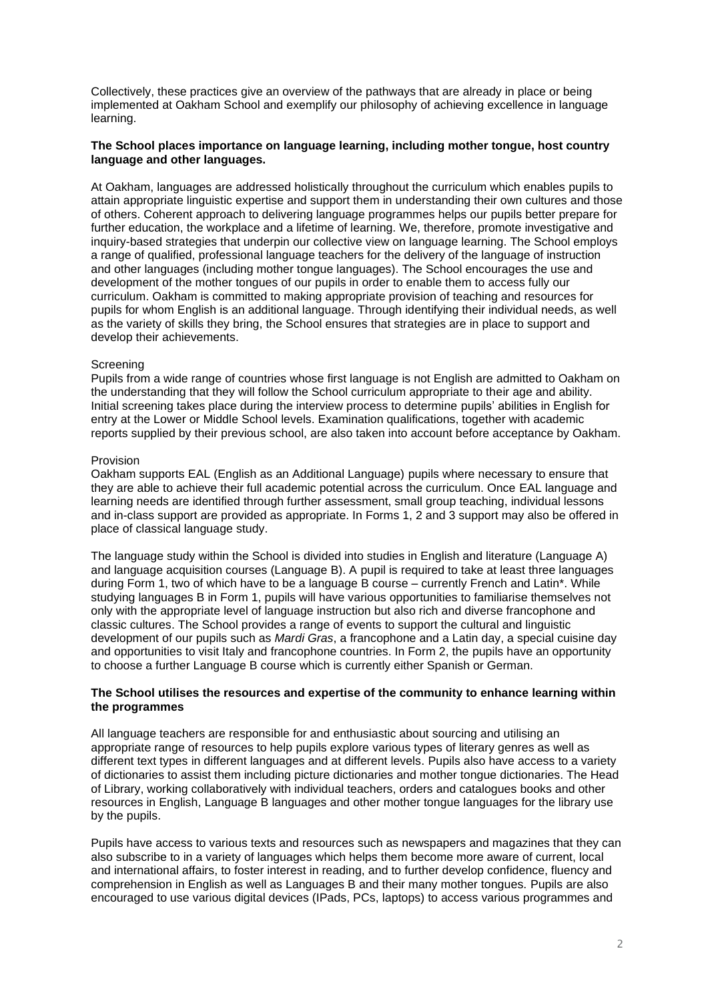Collectively, these practices give an overview of the pathways that are already in place or being implemented at Oakham School and exemplify our philosophy of achieving excellence in language learning.

### **The School places importance on language learning, including mother tongue, host country language and other languages.**

At Oakham, languages are addressed holistically throughout the curriculum which enables pupils to attain appropriate linguistic expertise and support them in understanding their own cultures and those of others. Coherent approach to delivering language programmes helps our pupils better prepare for further education, the workplace and a lifetime of learning. We, therefore, promote investigative and inquiry-based strategies that underpin our collective view on language learning. The School employs a range of qualified, professional language teachers for the delivery of the language of instruction and other languages (including mother tongue languages). The School encourages the use and development of the mother tongues of our pupils in order to enable them to access fully our curriculum. Oakham is committed to making appropriate provision of teaching and resources for pupils for whom English is an additional language. Through identifying their individual needs, as well as the variety of skills they bring, the School ensures that strategies are in place to support and develop their achievements.

#### Screening

Pupils from a wide range of countries whose first language is not English are admitted to Oakham on the understanding that they will follow the School curriculum appropriate to their age and ability. Initial screening takes place during the interview process to determine pupils' abilities in English for entry at the Lower or Middle School levels. Examination qualifications, together with academic reports supplied by their previous school, are also taken into account before acceptance by Oakham.

#### Provision

Oakham supports EAL (English as an Additional Language) pupils where necessary to ensure that they are able to achieve their full academic potential across the curriculum. Once EAL language and learning needs are identified through further assessment, small group teaching, individual lessons and in-class support are provided as appropriate. In Forms 1, 2 and 3 support may also be offered in place of classical language study.

The language study within the School is divided into studies in English and literature (Language A) and language acquisition courses (Language B). A pupil is required to take at least three languages during Form 1, two of which have to be a language B course – currently French and Latin\*. While studying languages B in Form 1, pupils will have various opportunities to familiarise themselves not only with the appropriate level of language instruction but also rich and diverse francophone and classic cultures. The School provides a range of events to support the cultural and linguistic development of our pupils such as *Mardi Gras*, a francophone and a Latin day, a special cuisine day and opportunities to visit Italy and francophone countries. In Form 2, the pupils have an opportunity to choose a further Language B course which is currently either Spanish or German.

#### **The School utilises the resources and expertise of the community to enhance learning within the programmes**

All language teachers are responsible for and enthusiastic about sourcing and utilising an appropriate range of resources to help pupils explore various types of literary genres as well as different text types in different languages and at different levels. Pupils also have access to a variety of dictionaries to assist them including picture dictionaries and mother tongue dictionaries. The Head of Library, working collaboratively with individual teachers, orders and catalogues books and other resources in English, Language B languages and other mother tongue languages for the library use by the pupils.

Pupils have access to various texts and resources such as newspapers and magazines that they can also subscribe to in a variety of languages which helps them become more aware of current, local and international affairs, to foster interest in reading, and to further develop confidence, fluency and comprehension in English as well as Languages B and their many mother tongues. Pupils are also encouraged to use various digital devices (IPads, PCs, laptops) to access various programmes and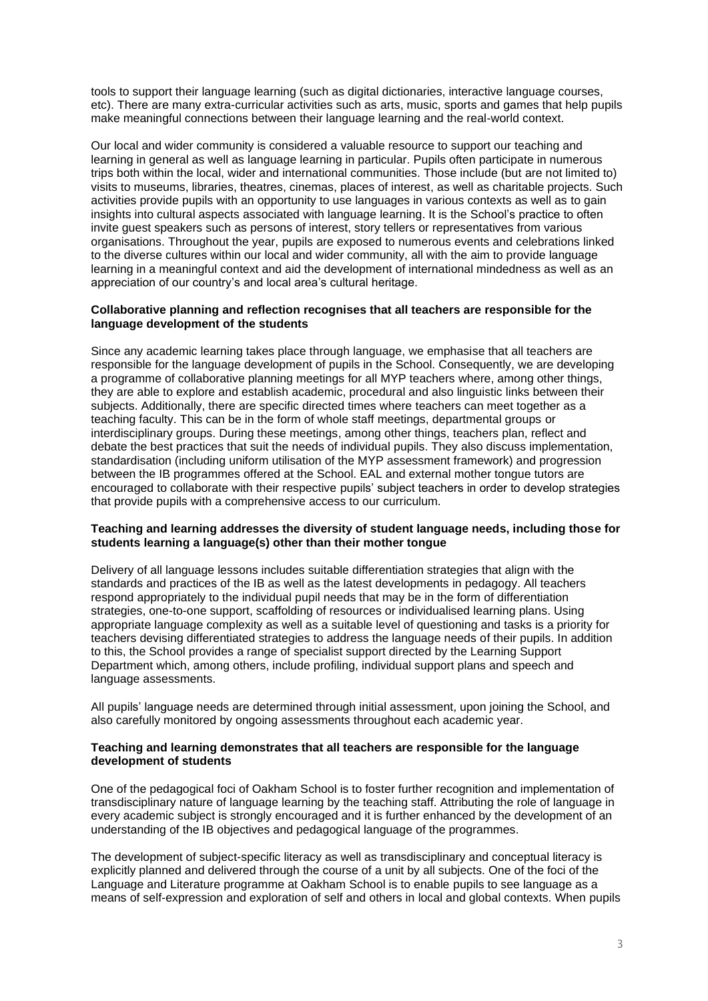tools to support their language learning (such as digital dictionaries, interactive language courses, etc). There are many extra-curricular activities such as arts, music, sports and games that help pupils make meaningful connections between their language learning and the real-world context.

Our local and wider community is considered a valuable resource to support our teaching and learning in general as well as language learning in particular. Pupils often participate in numerous trips both within the local, wider and international communities. Those include (but are not limited to) visits to museums, libraries, theatres, cinemas, places of interest, as well as charitable projects. Such activities provide pupils with an opportunity to use languages in various contexts as well as to gain insights into cultural aspects associated with language learning. It is the School's practice to often invite guest speakers such as persons of interest, story tellers or representatives from various organisations. Throughout the year, pupils are exposed to numerous events and celebrations linked to the diverse cultures within our local and wider community, all with the aim to provide language learning in a meaningful context and aid the development of international mindedness as well as an appreciation of our country's and local area's cultural heritage.

### **Collaborative planning and reflection recognises that all teachers are responsible for the language development of the students**

Since any academic learning takes place through language, we emphasise that all teachers are responsible for the language development of pupils in the School. Consequently, we are developing a programme of collaborative planning meetings for all MYP teachers where, among other things, they are able to explore and establish academic, procedural and also linguistic links between their subjects. Additionally, there are specific directed times where teachers can meet together as a teaching faculty. This can be in the form of whole staff meetings, departmental groups or interdisciplinary groups. During these meetings, among other things, teachers plan, reflect and debate the best practices that suit the needs of individual pupils. They also discuss implementation, standardisation (including uniform utilisation of the MYP assessment framework) and progression between the IB programmes offered at the School. EAL and external mother tongue tutors are encouraged to collaborate with their respective pupils' subject teachers in order to develop strategies that provide pupils with a comprehensive access to our curriculum.

### **Teaching and learning addresses the diversity of student language needs, including those for students learning a language(s) other than their mother tongue**

Delivery of all language lessons includes suitable differentiation strategies that align with the standards and practices of the IB as well as the latest developments in pedagogy. All teachers respond appropriately to the individual pupil needs that may be in the form of differentiation strategies, one-to-one support, scaffolding of resources or individualised learning plans. Using appropriate language complexity as well as a suitable level of questioning and tasks is a priority for teachers devising differentiated strategies to address the language needs of their pupils. In addition to this, the School provides a range of specialist support directed by the Learning Support Department which, among others, include profiling, individual support plans and speech and language assessments.

All pupils' language needs are determined through initial assessment, upon joining the School, and also carefully monitored by ongoing assessments throughout each academic year.

### **Teaching and learning demonstrates that all teachers are responsible for the language development of students**

One of the pedagogical foci of Oakham School is to foster further recognition and implementation of transdisciplinary nature of language learning by the teaching staff. Attributing the role of language in every academic subject is strongly encouraged and it is further enhanced by the development of an understanding of the IB objectives and pedagogical language of the programmes.

The development of subject-specific literacy as well as transdisciplinary and conceptual literacy is explicitly planned and delivered through the course of a unit by all subjects. One of the foci of the Language and Literature programme at Oakham School is to enable pupils to see language as a means of self-expression and exploration of self and others in local and global contexts. When pupils